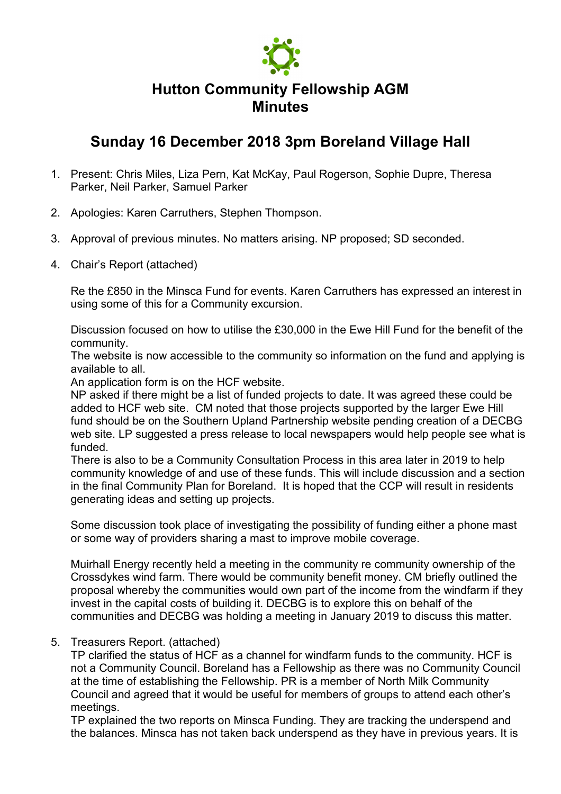

## **Hutton Community Fellowship AGM Minutes**

## **Sunday 16 December 2018 3pm Boreland Village Hall**

- 1. Present: Chris Miles, Liza Pern, Kat McKay, Paul Rogerson, Sophie Dupre, Theresa Parker, Neil Parker, Samuel Parker
- 2. Apologies: Karen Carruthers, Stephen Thompson.
- 3. Approval of previous minutes. No matters arising. NP proposed; SD seconded.
- 4. Chair's Report (attached)

Re the £850 in the Minsca Fund for events. Karen Carruthers has expressed an interest in using some of this for a Community excursion.

Discussion focused on how to utilise the £30,000 in the Ewe Hill Fund for the benefit of the community.

The website is now accessible to the community so information on the fund and applying is available to all.

An application form is on the HCF website.

NP asked if there might be a list of funded projects to date. It was agreed these could be added to HCF web site. CM noted that those projects supported by the larger Ewe Hill fund should be on the Southern Upland Partnership website pending creation of a DECBG web site. LP suggested a press release to local newspapers would help people see what is funded.

There is also to be a Community Consultation Process in this area later in 2019 to help community knowledge of and use of these funds. This will include discussion and a section in the final Community Plan for Boreland. It is hoped that the CCP will result in residents generating ideas and setting up projects.

Some discussion took place of investigating the possibility of funding either a phone mast or some way of providers sharing a mast to improve mobile coverage.

Muirhall Energy recently held a meeting in the community re community ownership of the Crossdykes wind farm. There would be community benefit money. CM briefly outlined the proposal whereby the communities would own part of the income from the windfarm if they invest in the capital costs of building it. DECBG is to explore this on behalf of the communities and DECBG was holding a meeting in January 2019 to discuss this matter.

## 5. Treasurers Report. (attached)

TP clarified the status of HCF as a channel for windfarm funds to the community. HCF is not a Community Council. Boreland has a Fellowship as there was no Community Council at the time of establishing the Fellowship. PR is a member of North Milk Community Council and agreed that it would be useful for members of groups to attend each other's meetings.

TP explained the two reports on Minsca Funding. They are tracking the underspend and the balances. Minsca has not taken back underspend as they have in previous years. It is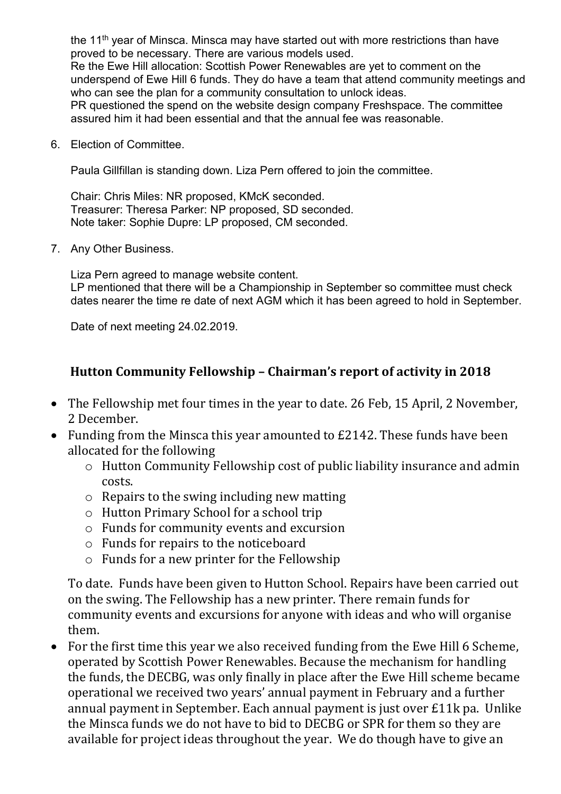the 11<sup>th</sup> year of Minsca. Minsca may have started out with more restrictions than have proved to be necessary. There are various models used.

Re the Ewe Hill allocation: Scottish Power Renewables are yet to comment on the underspend of Ewe Hill 6 funds. They do have a team that attend community meetings and who can see the plan for a community consultation to unlock ideas.

PR questioned the spend on the website design company Freshspace. The committee assured him it had been essential and that the annual fee was reasonable.

6. Election of Committee.

Paula Gillfillan is standing down. Liza Pern offered to join the committee.

Chair: Chris Miles: NR proposed, KMcK seconded. Treasurer: Theresa Parker: NP proposed, SD seconded. Note taker: Sophie Dupre: LP proposed, CM seconded.

7. Any Other Business.

Liza Pern agreed to manage website content. LP mentioned that there will be a Championship in September so committee must check dates nearer the time re date of next AGM which it has been agreed to hold in September.

Date of next meeting 24.02.2019.

## **Hutton Community Fellowship – Chairman's report of activity in 2018**

- The Fellowship met four times in the year to date. 26 Feb, 15 April, 2 November, 2 December.
- Funding from the Minsca this year amounted to £2142. These funds have been allocated for the following
	- o Hutton Community Fellowship cost of public liability insurance and admin costs.
	- o Repairs to the swing including new matting
	- o Hutton Primary School for a school trip
	- o Funds for community events and excursion
	- o Funds for repairs to the noticeboard
	- o Funds for a new printer for the Fellowship

To date. Funds have been given to Hutton School. Repairs have been carried out on the swing. The Fellowship has a new printer. There remain funds for community events and excursions for anyone with ideas and who will organise them.

• For the first time this year we also received funding from the Ewe Hill 6 Scheme, operated by Scottish Power Renewables. Because the mechanism for handling the funds, the DECBG, was only finally in place after the Ewe Hill scheme became operational we received two years' annual payment in February and a further annual payment in September. Each annual payment is just over £11k pa. Unlike the Minsca funds we do not have to bid to DECBG or SPR for them so they are available for project ideas throughout the year. We do though have to give an